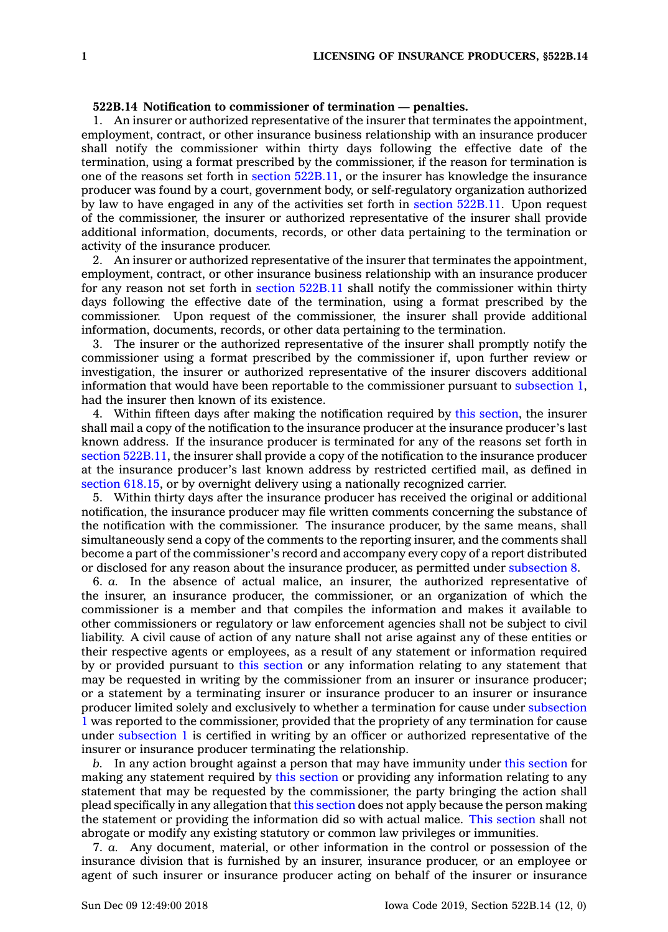## **522B.14 Notification to commissioner of termination — penalties.**

1. An insurer or authorized representative of the insurer that terminates the appointment, employment, contract, or other insurance business relationship with an insurance producer shall notify the commissioner within thirty days following the effective date of the termination, using <sup>a</sup> format prescribed by the commissioner, if the reason for termination is one of the reasons set forth in section [522B.11](https://www.legis.iowa.gov/docs/code/522B.11.pdf), or the insurer has knowledge the insurance producer was found by <sup>a</sup> court, government body, or self-regulatory organization authorized by law to have engaged in any of the activities set forth in section [522B.11](https://www.legis.iowa.gov/docs/code/522B.11.pdf). Upon request of the commissioner, the insurer or authorized representative of the insurer shall provide additional information, documents, records, or other data pertaining to the termination or activity of the insurance producer.

2. An insurer or authorized representative of the insurer that terminates the appointment, employment, contract, or other insurance business relationship with an insurance producer for any reason not set forth in section [522B.11](https://www.legis.iowa.gov/docs/code/522B.11.pdf) shall notify the commissioner within thirty days following the effective date of the termination, using <sup>a</sup> format prescribed by the commissioner. Upon request of the commissioner, the insurer shall provide additional information, documents, records, or other data pertaining to the termination.

3. The insurer or the authorized representative of the insurer shall promptly notify the commissioner using <sup>a</sup> format prescribed by the commissioner if, upon further review or investigation, the insurer or authorized representative of the insurer discovers additional information that would have been reportable to the commissioner pursuant to [subsection](https://www.legis.iowa.gov/docs/code/522B.14.pdf) 1, had the insurer then known of its existence.

4. Within fifteen days after making the notification required by this [section](https://www.legis.iowa.gov/docs/code/522B.14.pdf), the insurer shall mail <sup>a</sup> copy of the notification to the insurance producer at the insurance producer's last known address. If the insurance producer is terminated for any of the reasons set forth in section [522B.11](https://www.legis.iowa.gov/docs/code/522B.11.pdf), the insurer shall provide <sup>a</sup> copy of the notification to the insurance producer at the insurance producer's last known address by restricted certified mail, as defined in section [618.15](https://www.legis.iowa.gov/docs/code/618.15.pdf), or by overnight delivery using <sup>a</sup> nationally recognized carrier.

5. Within thirty days after the insurance producer has received the original or additional notification, the insurance producer may file written comments concerning the substance of the notification with the commissioner. The insurance producer, by the same means, shall simultaneously send <sup>a</sup> copy of the comments to the reporting insurer, and the comments shall become <sup>a</sup> part of the commissioner's record and accompany every copy of <sup>a</sup> report distributed or disclosed for any reason about the insurance producer, as permitted under [subsection](https://www.legis.iowa.gov/docs/code/522B.14.pdf) 8.

6. *a.* In the absence of actual malice, an insurer, the authorized representative of the insurer, an insurance producer, the commissioner, or an organization of which the commissioner is <sup>a</sup> member and that compiles the information and makes it available to other commissioners or regulatory or law enforcement agencies shall not be subject to civil liability. A civil cause of action of any nature shall not arise against any of these entities or their respective agents or employees, as <sup>a</sup> result of any statement or information required by or provided pursuant to this [section](https://www.legis.iowa.gov/docs/code/522B.14.pdf) or any information relating to any statement that may be requested in writing by the commissioner from an insurer or insurance producer; or <sup>a</sup> statement by <sup>a</sup> terminating insurer or insurance producer to an insurer or insurance producer limited solely and exclusively to whether <sup>a</sup> termination for cause under [subsection](https://www.legis.iowa.gov/docs/code/522B.14.pdf) [1](https://www.legis.iowa.gov/docs/code/522B.14.pdf) was reported to the commissioner, provided that the propriety of any termination for cause under [subsection](https://www.legis.iowa.gov/docs/code/522B.14.pdf)  $1$  is certified in writing by an officer or authorized representative of the insurer or insurance producer terminating the relationship.

*b.* In any action brought against <sup>a</sup> person that may have immunity under this [section](https://www.legis.iowa.gov/docs/code/522B.14.pdf) for making any statement required by this [section](https://www.legis.iowa.gov/docs/code/522B.14.pdf) or providing any information relating to any statement that may be requested by the commissioner, the party bringing the action shall plead specifically in any allegation that this [section](https://www.legis.iowa.gov/docs/code/522B.14.pdf) does not apply because the person making the statement or providing the information did so with actual malice. This [section](https://www.legis.iowa.gov/docs/code/522B.14.pdf) shall not abrogate or modify any existing statutory or common law privileges or immunities.

7. *a.* Any document, material, or other information in the control or possession of the insurance division that is furnished by an insurer, insurance producer, or an employee or agent of such insurer or insurance producer acting on behalf of the insurer or insurance